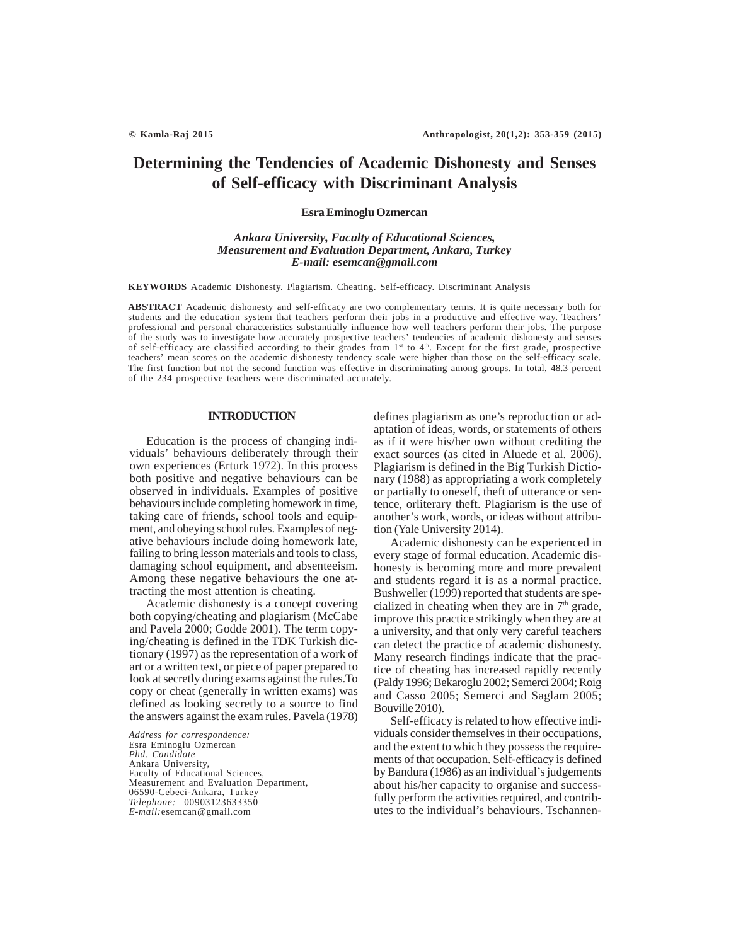# **Determining the Tendencies of Academic Dishonesty and Senses of Self-efficacy with Discriminant Analysis**

# **Esra Eminoglu Ozmercan**

# *Ankara University, Faculty of Educational Sciences, Measurement and Evaluation Department, Ankara, Turkey E-mail: esemcan@gmail.com*

**KEYWORDS** Academic Dishonesty. Plagiarism. Cheating. Self-efficacy. Discriminant Analysis

**ABSTRACT** Academic dishonesty and self-efficacy are two complementary terms. It is quite necessary both for students and the education system that teachers perform their jobs in a productive and effective way. Teachers' professional and personal characteristics substantially influence how well teachers perform their jobs. The purpose of the study was to investigate how accurately prospective teachers' tendencies of academic dishonesty and senses of self-efficacy are classified according to their grades from 1<sup>st</sup> to 4<sup>th</sup>. Except for the first grade, prospective teachers' mean scores on the academic dishonesty tendency scale were higher than those on the self-efficacy scale. The first function but not the second function was effective in discriminating among groups. In total, 48.3 percent of the 234 prospective teachers were discriminated accurately.

## **INTRODUCTION**

Education is the process of changing individuals' behaviours deliberately through their own experiences (Erturk 1972). In this process both positive and negative behaviours can be observed in individuals. Examples of positive behaviours include completing homework in time, taking care of friends, school tools and equipment, and obeying school rules. Examples of negative behaviours include doing homework late, failing to bring lesson materials and tools to class, damaging school equipment, and absenteeism. Among these negative behaviours the one attracting the most attention is cheating.

Academic dishonesty is a concept covering both copying/cheating and plagiarism (McCabe and Pavela 2000; Godde 2001). The term copying/cheating is defined in the TDK Turkish dictionary (1997) as the representation of a work of art or a written text, or piece of paper prepared to look at secretly during exams against the rules.To copy or cheat (generally in written exams) was defined as looking secretly to a source to find the answers against the exam rules. Pavela (1978)

*Address for correspondence:* Esra Eminoglu Ozmercan *Phd. Candidate* Ankara University, Faculty of Educational Sciences, Measurement and Evaluation Department, 06590-Cebeci-Ankara, Turkey *Telephone:* 00903123633350 *E-mail:*esemcan@gmail.com

defines plagiarism as one's reproduction or adaptation of ideas, words, or statements of others as if it were his/her own without crediting the exact sources (as cited in Aluede et al. 2006). Plagiarism is defined in the Big Turkish Dictionary (1988) as appropriating a work completely or partially to oneself, theft of utterance or sentence, orliterary theft. Plagiarism is the use of another's work, words, or ideas without attribution (Yale University 2014).

Academic dishonesty can be experienced in every stage of formal education. Academic dishonesty is becoming more and more prevalent and students regard it is as a normal practice. Bushweller (1999) reported that students are specialized in cheating when they are in  $7<sup>th</sup>$  grade, improve this practice strikingly when they are at a university, and that only very careful teachers can detect the practice of academic dishonesty. Many research findings indicate that the practice of cheating has increased rapidly recently (Paldy 1996; Bekaroglu 2002; Semerci 2004; Roig and Casso 2005; Semerci and Saglam 2005; Bouville 2010).

Self-efficacy is related to how effective individuals consider themselves in their occupations, and the extent to which they possess the requirements of that occupation. Self-efficacy is defined by Bandura (1986) as an individual's judgements about his/her capacity to organise and successfully perform the activities required, and contributes to the individual's behaviours. Tschannen-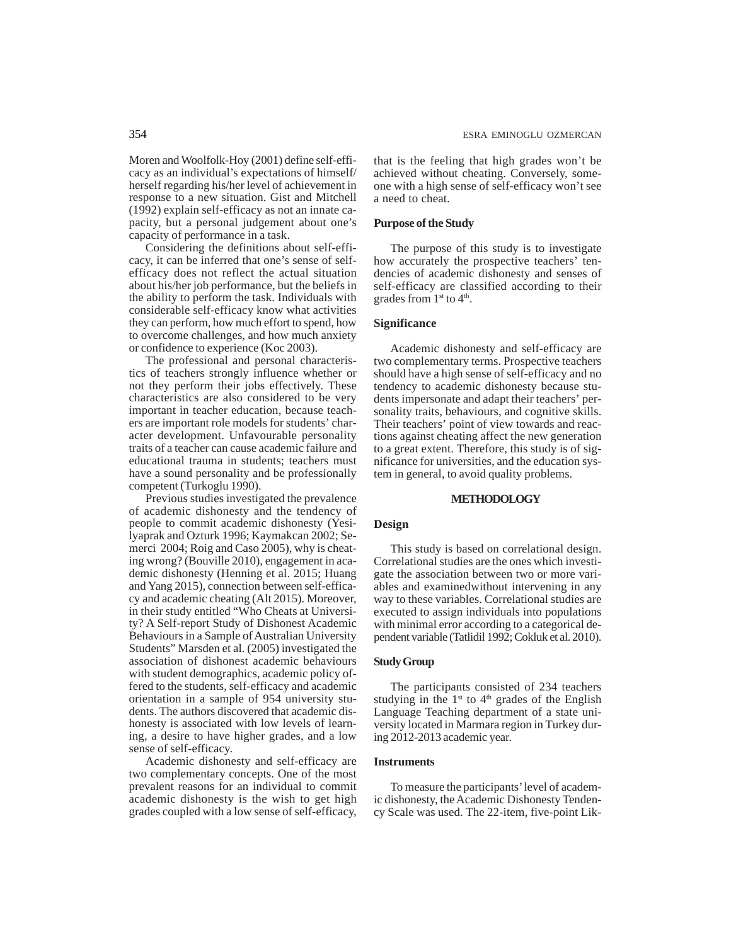Moren and Woolfolk-Hoy (2001) define self-efficacy as an individual's expectations of himself/ herself regarding his/her level of achievement in response to a new situation. Gist and Mitchell (1992) explain self-efficacy as not an innate capacity, but a personal judgement about one's capacity of performance in a task.

Considering the definitions about self-efficacy, it can be inferred that one's sense of selfefficacy does not reflect the actual situation about his/her job performance, but the beliefs in the ability to perform the task. Individuals with considerable self-efficacy know what activities they can perform, how much effort to spend, how to overcome challenges, and how much anxiety or confidence to experience (Koc 2003).

The professional and personal characteristics of teachers strongly influence whether or not they perform their jobs effectively. These characteristics are also considered to be very important in teacher education, because teachers are important role models for students' character development. Unfavourable personality traits of a teacher can cause academic failure and educational trauma in students; teachers must have a sound personality and be professionally competent (Turkoglu 1990).

Previous studies investigated the prevalence of academic dishonesty and the tendency of people to commit academic dishonesty (Yesilyaprak and Ozturk 1996; Kaymakcan 2002; Semerci 2004; Roig and Caso 2005), why is cheating wrong? (Bouville 2010), engagement in academic dishonesty (Henning et al. 2015; Huang and Yang 2015), connection between self-efficacy and academic cheating (Alt 2015). Moreover, in their study entitled "Who Cheats at University? A Self-report Study of Dishonest Academic Behaviours in a Sample of Australian University Students" Marsden et al. (2005) investigated the association of dishonest academic behaviours with student demographics, academic policy offered to the students, self-efficacy and academic orientation in a sample of 954 university students. The authors discovered that academic dishonesty is associated with low levels of learning, a desire to have higher grades, and a low sense of self-efficacy.

Academic dishonesty and self-efficacy are two complementary concepts. One of the most prevalent reasons for an individual to commit academic dishonesty is the wish to get high grades coupled with a low sense of self-efficacy, that is the feeling that high grades won't be achieved without cheating. Conversely, someone with a high sense of self-efficacy won't see a need to cheat.

# **Purpose of the Study**

The purpose of this study is to investigate how accurately the prospective teachers' tendencies of academic dishonesty and senses of self-efficacy are classified according to their grades from  $1<sup>st</sup>$  to  $4<sup>th</sup>$ .

## **Significance**

Academic dishonesty and self-efficacy are two complementary terms. Prospective teachers should have a high sense of self-efficacy and no tendency to academic dishonesty because students impersonate and adapt their teachers' personality traits, behaviours, and cognitive skills. Their teachers' point of view towards and reactions against cheating affect the new generation to a great extent. Therefore, this study is of significance for universities, and the education system in general, to avoid quality problems.

# **METHODOLOGY**

### **Design**

This study is based on correlational design. Correlational studies are the ones which investigate the association between two or more variables and examinedwithout intervening in any way to these variables. Correlational studies are executed to assign individuals into populations with minimal error according to a categorical dependent variable (Tatlidil 1992; Cokluk et al. 2010).

# **Study Group**

The participants consisted of 234 teachers studying in the  $1<sup>st</sup>$  to  $4<sup>th</sup>$  grades of the English Language Teaching department of a state university located in Marmara region in Turkey during 2012-2013 academic year.

# **Instruments**

To measure the participants' level of academic dishonesty, the Academic Dishonesty Tendency Scale was used. The 22-item, five-point Lik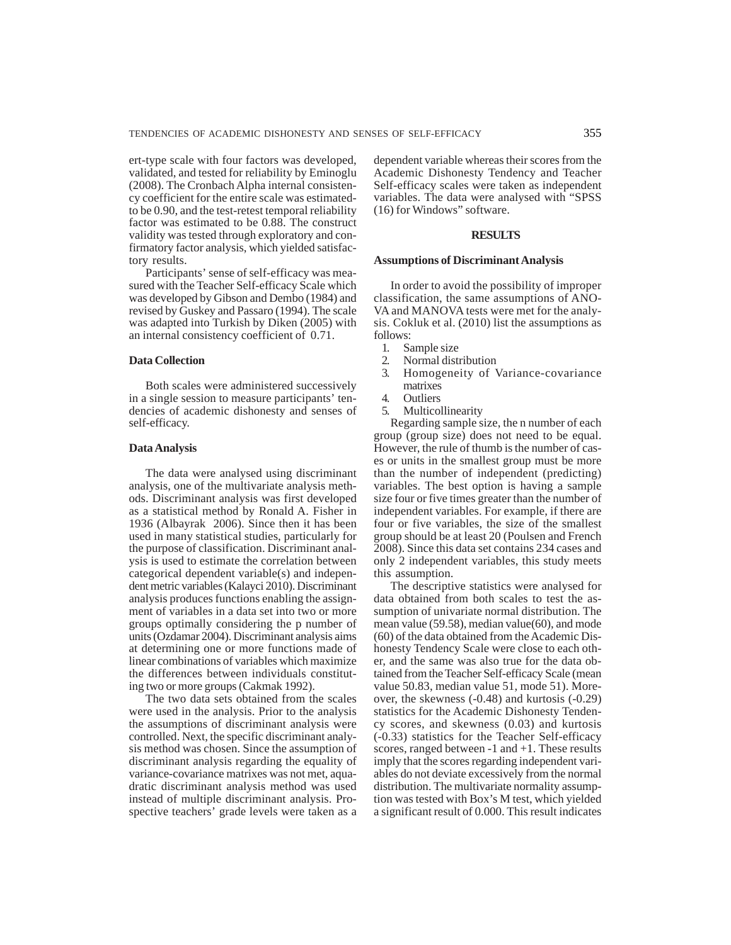ert-type scale with four factors was developed, validated, and tested for reliability by Eminoglu (2008). The Cronbach Alpha internal consistency coefficient for the entire scale was estimatedto be 0.90, and the test-retest temporal reliability factor was estimated to be 0.88. The construct validity was tested through exploratory and confirmatory factor analysis, which yielded satisfactory results.

Participants' sense of self-efficacy was measured with the Teacher Self-efficacy Scale which was developed by Gibson and Dembo (1984) and revised by Guskey and Passaro (1994). The scale was adapted into Turkish by Diken (2005) with an internal consistency coefficient of 0.71.

# **Data Collection**

Both scales were administered successively in a single session to measure participants' tendencies of academic dishonesty and senses of self-efficacy.

# **Data Analysis**

The data were analysed using discriminant analysis, one of the multivariate analysis methods. Discriminant analysis was first developed as a statistical method by Ronald A. Fisher in 1936 (Albayrak 2006). Since then it has been used in many statistical studies, particularly for the purpose of classification. Discriminant analysis is used to estimate the correlation between categorical dependent variable(s) and independent metric variables (Kalayci 2010). Discriminant analysis produces functions enabling the assignment of variables in a data set into two or more groups optimally considering the p number of units (Ozdamar 2004). Discriminant analysis aims at determining one or more functions made of linear combinations of variables which maximize the differences between individuals constituting two or more groups (Cakmak 1992).

The two data sets obtained from the scales were used in the analysis. Prior to the analysis the assumptions of discriminant analysis were controlled. Next, the specific discriminant analysis method was chosen. Since the assumption of discriminant analysis regarding the equality of variance-covariance matrixes was not met, aquadratic discriminant analysis method was used instead of multiple discriminant analysis. Prospective teachers' grade levels were taken as a dependent variable whereas their scores from the Academic Dishonesty Tendency and Teacher Self-efficacy scales were taken as independent variables. The data were analysed with "SPSS (16) for Windows" software.

# **RESULTS**

#### **Assumptions of Discriminant Analysis**

In order to avoid the possibility of improper classification, the same assumptions of ANO-VA and MANOVA tests were met for the analysis. Cokluk et al. (2010) list the assumptions as follows:

- 1. Sample size<br>2. Normal disti
- 2. Normal distribution
- 3. Homogeneity of Variance-covariance matrixes
- 4. Outliers
- 5. Multicollinearity

Regarding sample size, the n number of each group (group size) does not need to be equal. However, the rule of thumb is the number of cases or units in the smallest group must be more than the number of independent (predicting) variables. The best option is having a sample size four or five times greater than the number of independent variables. For example, if there are four or five variables, the size of the smallest group should be at least 20 (Poulsen and French 2008). Since this data set contains 234 cases and only 2 independent variables, this study meets this assumption.

The descriptive statistics were analysed for data obtained from both scales to test the assumption of univariate normal distribution. The mean value (59.58), median value(60), and mode (60) of the data obtained from the Academic Dishonesty Tendency Scale were close to each other, and the same was also true for the data obtained from the Teacher Self-efficacy Scale (mean value 50.83, median value 51, mode 51). Moreover, the skewness (-0.48) and kurtosis (-0.29) statistics for the Academic Dishonesty Tendency scores, and skewness (0.03) and kurtosis (-0.33) statistics for the Teacher Self-efficacy scores, ranged between -1 and +1. These results imply that the scores regarding independent variables do not deviate excessively from the normal distribution. The multivariate normality assumption was tested with Box's M test, which yielded a significant result of 0.000. This result indicates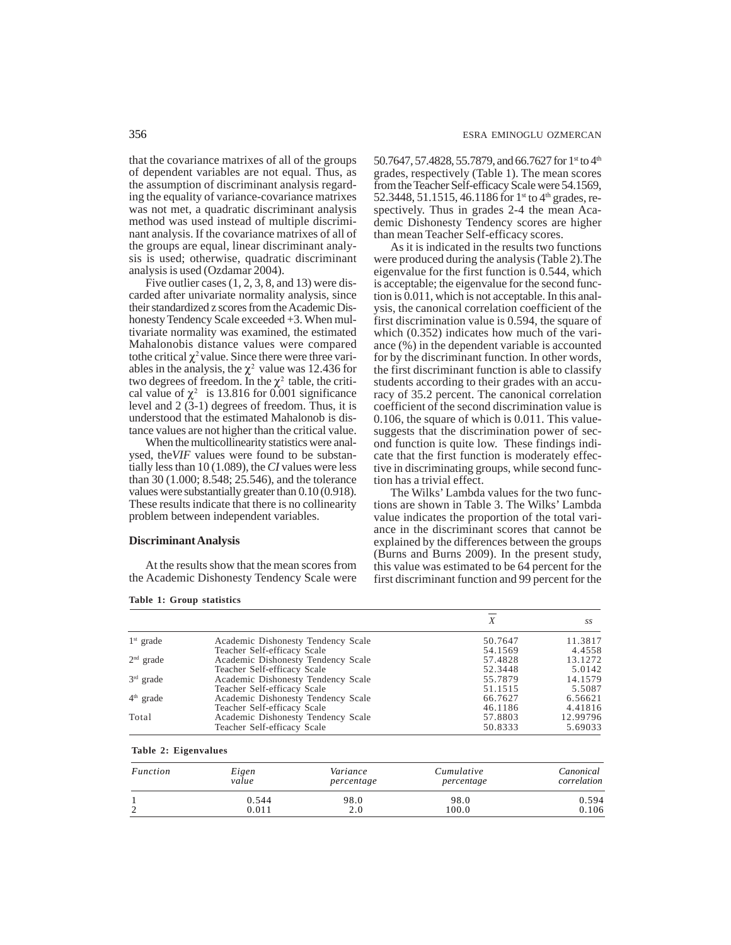that the covariance matrixes of all of the groups of dependent variables are not equal. Thus, as the assumption of discriminant analysis regarding the equality of variance-covariance matrixes was not met, a quadratic discriminant analysis method was used instead of multiple discriminant analysis. If the covariance matrixes of all of the groups are equal, linear discriminant analysis is used; otherwise, quadratic discriminant analysis is used (Ozdamar 2004).

Five outlier cases  $(1, 2, 3, 8, 4, 13)$  were discarded after univariate normality analysis, since their standardized z scores from the Academic Dishonesty Tendency Scale exceeded +3. When multivariate normality was examined, the estimated Mahalonobis distance values were compared tothe critical  $\chi^2$  value. Since there were three variables in the analysis, the  $\chi^2$  value was 12.436 for two degrees of freedom. In the  $\chi^2$  table, the critical value of  $\chi^2$  is 13.816 for 0.001 significance level and 2 (3-1) degrees of freedom. Thus, it is understood that the estimated Mahalonob is distance values are not higher than the critical value.

When the multicollinearity statistics were analysed, the*VIF* values were found to be substantially less than 10 (1.089), the *CI* values were less than 30 (1.000; 8.548; 25.546), and the tolerance values were substantially greater than 0.10 (0.918). These results indicate that there is no collinearity problem between independent variables.

# **Discriminant Analysis**

At the results show that the mean scores from the Academic Dishonesty Tendency Scale were

**Table 1: Group statistics**

50.7647, 57.4828, 55.7879, and 66.7627 for 1<sup>st</sup> to 4<sup>th</sup> grades, respectively (Table 1). The mean scores from the Teacher Self-efficacy Scale were 54.1569, 52.3448, 51.1515, 46.1186 for  $1^{\text{st}}$  to  $4^{\text{th}}$  grades, respectively. Thus in grades 2-4 the mean Academic Dishonesty Tendency scores are higher than mean Teacher Self-efficacy scores.

As it is indicated in the results two functions were produced during the analysis (Table 2).The eigenvalue for the first function is 0.544, which is acceptable; the eigenvalue for the second function is  $0.011$ , which is not acceptable. In this analysis, the canonical correlation coefficient of the first discrimination value is 0.594, the square of which  $(0.352)$  indicates how much of the variance (%) in the dependent variable is accounted for by the discriminant function. In other words, the first discriminant function is able to classify students according to their grades with an accuracy of 35.2 percent. The canonical correlation coefficient of the second discrimination value is 0.106, the square of which is 0.011. This valuesuggests that the discrimination power of second function is quite low. These findings indicate that the first function is moderately effective in discriminating groups, while second function has a trivial effect.

The Wilks' Lambda values for the two functions are shown in Table 3. The Wilks' Lambda value indicates the proportion of the total variance in the discriminant scores that cannot be explained by the differences between the groups (Burns and Burns 2009). In the present study, this value was estimated to be 64 percent for the first discriminant function and 99 percent for the

|             |                                    | Х       | SS       |
|-------------|------------------------------------|---------|----------|
| $1st$ grade | Academic Dishonesty Tendency Scale | 50.7647 | 11.3817  |
|             | Teacher Self-efficacy Scale        | 54.1569 | 4.4558   |
| $2nd$ grade | Academic Dishonesty Tendency Scale | 57.4828 | 13.1272  |
|             | Teacher Self-efficacy Scale        | 52.3448 | 5.0142   |
| $3rd$ grade | Academic Dishonesty Tendency Scale | 55.7879 | 14.1579  |
|             | Teacher Self-efficacy Scale        | 51.1515 | 5.5087   |
| $4th$ grade | Academic Dishonesty Tendency Scale | 66.7627 | 6.56621  |
|             | Teacher Self-efficacy Scale        | 46.1186 | 4.41816  |
| Total       | Academic Dishonesty Tendency Scale | 57.8803 | 12.99796 |
|             | Teacher Self-efficacy Scale        | 50.8333 | 5.69033  |

**Table 2: Eigenvalues**

| Function | Eigen | Variance   | Cumulative | Canonical   |
|----------|-------|------------|------------|-------------|
|          | value | percentage | percentage | correlation |
|          | 0.544 | 98.0       | 98.0       | 0.594       |
|          | 0.011 | 2.0        | 100.0      | 0.106       |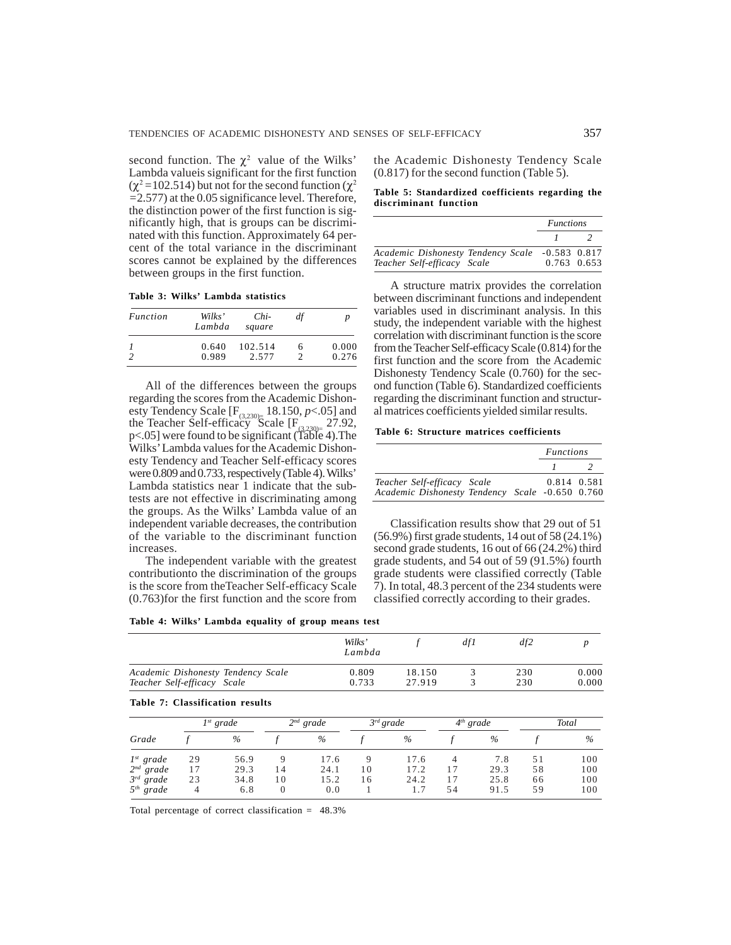second function. The  $\chi^2$  value of the Wilks' Lambda valueis significant for the first function  $(χ² = 102.514)$  but not for the second function  $(χ²)$ *=*2.577) at the 0.05 significance level. Therefore, the distinction power of the first function is significantly high, that is groups can be discriminated with this function. Approximately 64 percent of the total variance in the discriminant scores cannot be explained by the differences between groups in the first function.

**Table 3: Wilks' Lambda statistics**

| Function | Wilks'<br>Lambda | Chi-<br>square | df |       |
|----------|------------------|----------------|----|-------|
|          | 0.640            | 102.514        | h  | 0.000 |
|          | 0.989            | 2.577          |    | 0.276 |

All of the differences between the groups regarding the scores from the Academic Dishonesty Tendency Scale  $[F_{(3,230)}]$  18.150, *p*<.05] and the Teacher Self-efficacy Scale  $[F_{(3,230)=}$  27.92, p<.05] were found to be significant (Table 4). The Wilks' Lambda values for the Academic Dishonesty Tendency and Teacher Self-efficacy scores were 0.809 and 0.733, respectively (Table 4). Wilks' Lambda statistics near 1 indicate that the subtests are not effective in discriminating among the groups. As the Wilks' Lambda value of an independent variable decreases, the contribution of the variable to the discriminant function increases.

The independent variable with the greatest contributionto the discrimination of the groups is the score from theTeacher Self-efficacy Scale (0.763)for the first function and the score from

the Academic Dishonesty Tendency Scale (0.817) for the second function (Table 5).

**Table 5: Standardized coefficients regarding the discriminant function**

|                                                                                | <b>Functions</b> |  |  |
|--------------------------------------------------------------------------------|------------------|--|--|
|                                                                                |                  |  |  |
| Academic Dishonesty Tendency Scale -0.583 0.817<br>Teacher Self-efficacy Scale | 0.763 0.653      |  |  |

A structure matrix provides the correlation between discriminant functions and independent variables used in discriminant analysis. In this study, the independent variable with the highest correlation with discriminant function is the score from the Teacher Self-efficacy Scale (0.814) for the first function and the score from the Academic Dishonesty Tendency Scale (0.760) for the second function (Table 6). Standardized coefficients regarding the discriminant function and structural matrices coefficients yielded similar results.

**Table 6: Structure matrices coefficients**

|                                                 |  | <i>Functions</i> |  |  |
|-------------------------------------------------|--|------------------|--|--|
|                                                 |  |                  |  |  |
| Teacher Self-efficacy Scale                     |  | 0.814 0.581      |  |  |
| Academic Dishonesty Tendency Scale -0.650 0.760 |  |                  |  |  |

Classification results show that 29 out of 51 (56.9%) first grade students, 14 out of 58 (24.1%) second grade students, 16 out of 66 (24.2%) third grade students, and 54 out of 59 (91.5%) fourth grade students were classified correctly (Table 7). In total, 48.3 percent of the 234 students were classified correctly according to their grades.

| Table 4: Wilks' Lambda equality of group means test |  |  |  |  |  |  |  |
|-----------------------------------------------------|--|--|--|--|--|--|--|
|-----------------------------------------------------|--|--|--|--|--|--|--|

|                                                                   |                | Wilks'<br>Lambda |  | df1         | df2            |       |
|-------------------------------------------------------------------|----------------|------------------|--|-------------|----------------|-------|
| Academic Dishonesty Tendency Scale<br>Teacher Self-efficacy Scale | 0.809<br>0.733 | 18.150<br>27.919 |  | 230<br>230  | 0.000<br>0.000 |       |
| Table 7: Classification results                                   |                |                  |  |             |                |       |
| $I^{st}$ grade                                                    | $2^{nd}$ grade | $3^{rd}$ grade   |  | $4th$ grade |                | Total |

| Grade          | $I^{st}$ grade |      | $2^{nd}$ grade |               | $3^{rd}$ grade |      | $4th$ grade |      | Total |      |
|----------------|----------------|------|----------------|---------------|----------------|------|-------------|------|-------|------|
|                |                | $\%$ |                | $\frac{0}{0}$ |                | $\%$ |             | $\%$ |       | $\%$ |
| $1^{st}$ grade | 29             | 56.9 |                | 17.6          |                | 17.6 |             | 7.8  |       | 100  |
| $2^{nd}$ grade | 17             | 29.3 | 14             | 24.1          | 10             | 17.2 |             | 29.3 | 58    | 100  |
| $3^{rd}$ grade | 23             | 34.8 | 10             | 15.2          | ! 6            | 24.2 |             | 25.8 | 66    | 100  |
| $5th$ grade    | 4              | 6.8  | 0              | 0.0           |                |      | 54          | 91.5 | 59    | 100  |

Total percentage of correct classification = 48.3%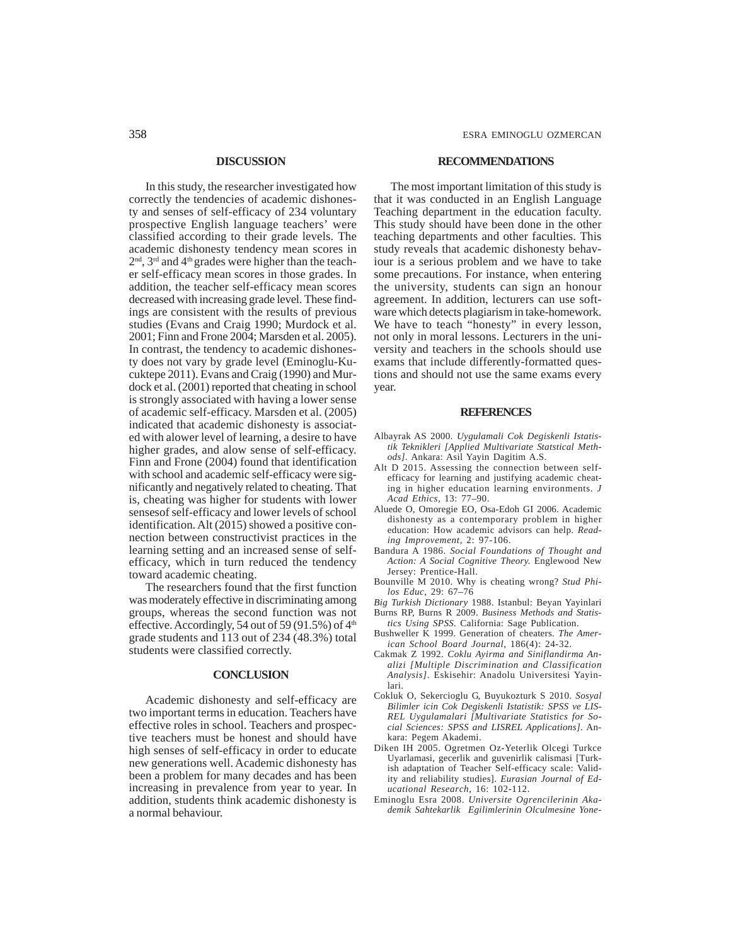## **DISCUSSION**

In this study, the researcher investigated how correctly the tendencies of academic dishonesty and senses of self-efficacy of 234 voluntary prospective English language teachers' were classified according to their grade levels. The academic dishonesty tendency mean scores in  $2<sup>nd</sup>$ ,  $3<sup>rd</sup>$  and  $4<sup>th</sup>$  grades were higher than the teacher self-efficacy mean scores in those grades. In addition, the teacher self-efficacy mean scores decreased with increasing grade level. These findings are consistent with the results of previous studies (Evans and Craig 1990; Murdock et al. 2001; Finn and Frone 2004; Marsden et al. 2005). In contrast, the tendency to academic dishonesty does not vary by grade level (Eminoglu-Kucuktepe 2011). Evans and Craig (1990) and Murdock et al. (2001) reported that cheating in school is strongly associated with having a lower sense of academic self-efficacy. Marsden et al. (2005) indicated that academic dishonesty is associated with alower level of learning, a desire to have higher grades, and alow sense of self-efficacy. Finn and Frone (2004) found that identification with school and academic self-efficacy were significantly and negatively related to cheating. That is, cheating was higher for students with lower sensesof self-efficacy and lower levels of school identification. Alt (2015) showed a positive connection between constructivist practices in the learning setting and an increased sense of selfefficacy, which in turn reduced the tendency toward academic cheating.

The researchers found that the first function was moderately effective in discriminating among groups, whereas the second function was not effective. Accordingly, 54 out of 59 (91.5%) of  $4<sup>th</sup>$ grade students and 113 out of 234 (48.3%) total students were classified correctly.

### **CONCLUSION**

Academic dishonesty and self-efficacy are two important terms in education. Teachers have effective roles in school. Teachers and prospective teachers must be honest and should have high senses of self-efficacy in order to educate new generations well. Academic dishonesty has been a problem for many decades and has been increasing in prevalence from year to year. In addition, students think academic dishonesty is a normal behaviour.

#### **RECOMMENDATIONS**

The most important limitation of this study is that it was conducted in an English Language Teaching department in the education faculty. This study should have been done in the other teaching departments and other faculties. This study reveals that academic dishonesty behaviour is a serious problem and we have to take some precautions. For instance, when entering the university, students can sign an honour agreement. In addition, lecturers can use software which detects plagiarism in take-homework. We have to teach "honesty" in every lesson, not only in moral lessons. Lecturers in the university and teachers in the schools should use exams that include differently-formatted questions and should not use the same exams every year.

#### **REFERENCES**

- Albayrak AS 2000. *Uygulamali Cok Degiskenli Istatistik Teknikleri [Applied Multivariate Statstical Methods]*. Ankara: Asil Yayin Dagitim A.S.
- Alt D 2015. Assessing the connection between selfefficacy for learning and justifying academic cheating in higher education learning environments. *J Acad Ethics,* 13: 77–90.
- Aluede O, Omoregie EO, Osa-Edoh GI 2006. Academic dishonesty as a contemporary problem in higher education: How academic advisors can help. *Reading Improvement,* 2: 97-106.
- Bandura A 1986. *Social Foundations of Thought and Action: A Social Cognitive Theory.* Englewood New Jersey: Prentice-Hall.
- Bounville M 2010. Why is cheating wrong? *Stud Philos Educ*, 29: 67–76
- *Big Turkish Dictionary* 1988. Istanbul: Beyan Yayinlari Burns RP, Burns R 2009. *Business Methods and Statis-*
- *tics Using SPSS.* California: Sage Publication. Bushweller K 1999. Generation of cheaters. *The American School Board Journal*, 186(4): 24-32.
- Cakmak Z 1992. *Coklu Ayirma and Siniflandirma Analizi [Multiple Discrimination and Classification Analysis]*. Eskisehir: Anadolu Universitesi Yayinlari.
- Cokluk O, Sekercioglu G, Buyukozturk S 2010. *Sosyal Bilimler icin Cok Degiskenli Istatistik: SPSS ve LIS-REL Uygulamalari [Multivariate Statistics for Social Sciences: SPSS and LISREL Applications]*. Ankara: Pegem Akademi.
- Diken IH 2005. Ogretmen Oz-Yeterlik Olcegi Turkce Uyarlamasi, gecerlik and guvenirlik calismasi [Turkish adaptation of Teacher Self-efficacy scale: Validity and reliability studies]. *Eurasian Journal of Educational Research*, 16: 102-112.
- Eminoglu Esra 2008. *Universite Ogrencilerinin Akademik Sahtekarlik Egilimlerinin Olculmesine Yone-*